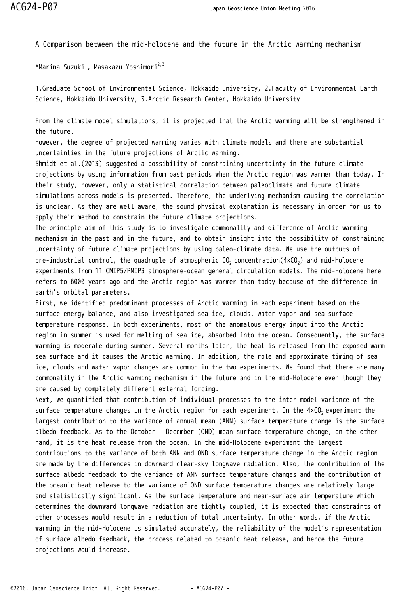A Comparison between the mid-Holocene and the future in the Arctic warming mechanism

 $^{\star}$ Marina Suzuki $^1$ , Masakazu Yoshimori $^{2,3}$ 

1.Graduate School of Environmental Science, Hokkaido University, 2.Faculty of Environmental Earth Science, Hokkaido University, 3.Arctic Research Center, Hokkaido University

From the climate model simulations, it is projected that the Arctic warming will be strengthened in the future.

However, the degree of projected warming varies with climate models and there are substantial uncertainties in the future projections of Arctic warming.

Shmidt et al.(2013) suggested a possibility of constraining uncertainty in the future climate projections by using information from past periods when the Arctic region was warmer than today. In their study, however, only a statistical correlation between paleoclimate and future climate simulations across models is presented. Therefore, the underlying mechanism causing the correlation is unclear. As they are well aware, the sound physical explanation is necessary in order for us to apply their method to constrain the future climate projections.

The principle aim of this study is to investigate commonality and difference of Arctic warming mechanism in the past and in the future, and to obtain insight into the possibility of constraining uncertainty of future climate projections by using paleo-climate data. We use the outputs of pre-industrial control, the quadruple of atmospheric CO $_2$  concentration(4×CO $_2$ ) and mid-Holocene experiments from 11 CMIP5/PMIP3 atmosphere-ocean general circulation models. The mid-Holocene here refers to 6000 years ago and the Arctic region was warmer than today because of the difference in earth's orbital parameters.

First, we identified predominant processes of Arctic warming in each experiment based on the surface energy balance, and also investigated sea ice, clouds, water vapor and sea surface temperature response. In both experiments, most of the anomalous energy input into the Arctic region in summer is used for melting of sea ice, absorbed into the ocean. Consequently, the surface warming is moderate during summer. Several months later, the heat is released from the exposed warm sea surface and it causes the Arctic warming. In addition, the role and approximate timing of sea ice, clouds and water vapor changes are common in the two experiments. We found that there are many commonality in the Arctic warming mechanism in the future and in the mid-Holocene even though they are caused by completely different external forcing.

Next, we quantified that contribution of individual processes to the inter-model variance of the surface temperature changes in the Arctic region for each experiment. In the 4xCO<sub>2</sub> experiment the largest contribution to the variance of annual mean (ANN) surface temperature change is the surface albedo feedback. As to the October - December (OND) mean surface temperature change, on the other hand, it is the heat release from the ocean. In the mid-Holocene experiment the largest contributions to the variance of both ANN and OND surface temperature change in the Arctic region are made by the differences in downward clear-sky longwave radiation. Also, the contribution of the surface albedo feedback to the variance of ANN surface temperature changes and the contribution of the oceanic heat release to the variance of OND surface temperature changes are relatively large and statistically significant. As the surface temperature and near-surface air temperature which determines the downward longwave radiation are tightly coupled, it is expected that constraints of other processes would result in a reduction of total uncertainty. In other words, if the Arctic warming in the mid-Holocene is simulated accurately, the reliability of the model's representation of surface albedo feedback, the process related to oceanic heat release, and hence the future projections would increase.